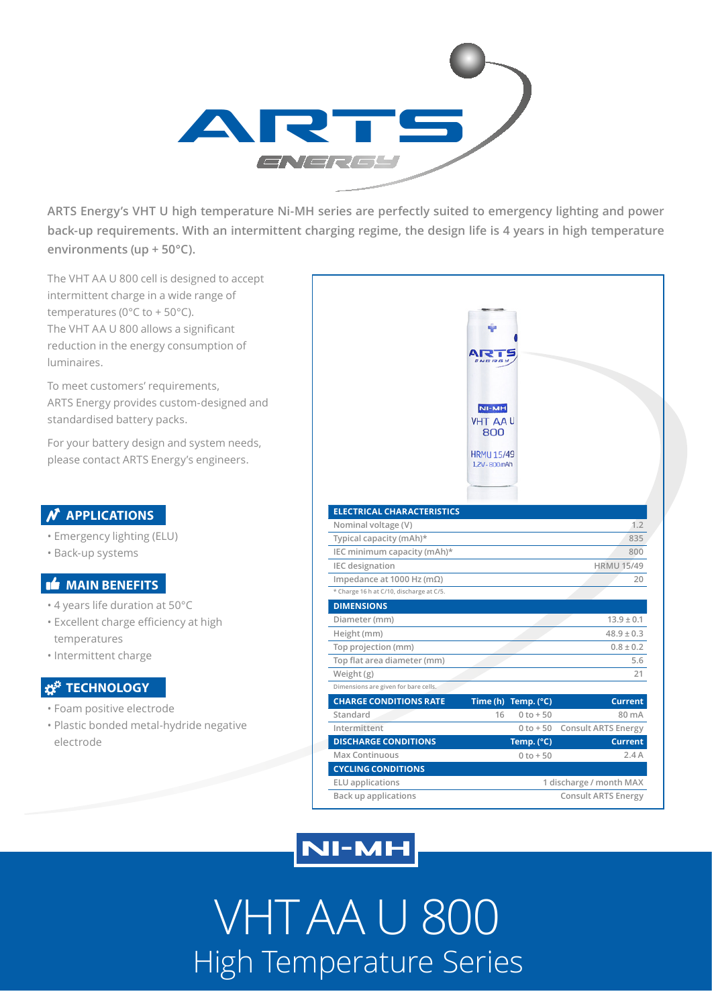

**ARTS Energy's VHT U high temperature Ni-MH series are perfectly suited to emergency lighting and power back-up requirements. With an intermittent charging regime, the design life is 4 years in high temperature environments (up + 50°C).**

The VHT AA U 800 cell is designed to accept intermittent charge in a wide range of temperatures (0°C to + 50°C). The VHT AA U 800 allows a significant reduction in the energy consumption of luminaires.

To meet customers' requirements, ARTS Energy provides custom-designed and standardised battery packs.

For your battery design and system needs, please contact ARTS Energy's engineers.

### **N** APPLICATIONS

- Emergency lighting (ELU)
- Back-up systems

#### **MAIN BENEFITS**

- 4 years life duration at 50°C
- Excellent charge efficiency at high temperatures
- Intermittent charge

### *x***<sup>\*</sup>** TECHNOLOGY

- Foam positive electrode
- Plastic bonded metal-hydride negative electrode

|                                          | <b>NI-MH</b><br><b>VHT AAU</b><br>800<br><b>HRMU 15/49</b><br>1,2V - 800mAh |                     |                            |
|------------------------------------------|-----------------------------------------------------------------------------|---------------------|----------------------------|
| <b>ELECTRICAL CHARACTERISTICS</b>        |                                                                             |                     |                            |
| Nominal voltage (V)                      |                                                                             |                     | 1.2                        |
| Typical capacity (mAh)*                  |                                                                             |                     | 835                        |
| IEC minimum capacity (mAh)*              |                                                                             |                     | 800                        |
| IEC designation                          |                                                                             |                     | <b>HRMU 15/49</b>          |
| Impedance at 1000 Hz (m $\Omega$ )       |                                                                             |                     | 20                         |
| * Charge 16 h at C/10, discharge at C/5. |                                                                             |                     |                            |
| <b>DIMENSIONS</b>                        |                                                                             |                     |                            |
| Diameter (mm)                            |                                                                             |                     | $13.9 \pm 0.1$             |
| Height (mm)                              |                                                                             |                     | $48.9 \pm 0.3$             |
| Top projection (mm)                      |                                                                             |                     | $0.8 \pm 0.2$              |
| Top flat area diameter (mm)              |                                                                             |                     | 5.6                        |
| Weight (g)                               |                                                                             |                     | 21                         |
| Dimensions are given for bare cells.     |                                                                             |                     |                            |
| <b>CHARGE CONDITIONS RATE</b>            |                                                                             | Time (h) Temp. (°C) | <b>Current</b>             |
| Standard                                 | 16                                                                          | $0$ to $+50$        | 80 mA                      |
| Intermittent                             |                                                                             | $0$ to $+50$        | <b>Consult ARTS Energy</b> |
|                                          |                                                                             |                     | <b>Current</b>             |
| <b>DISCHARGE CONDITIONS</b>              |                                                                             | Temp. (°C)          |                            |
| <b>Max Continuous</b>                    |                                                                             | $0$ to $+50$        | 2.4A                       |

## **NI-MH**

VHT AA U 800 High Temperature Series